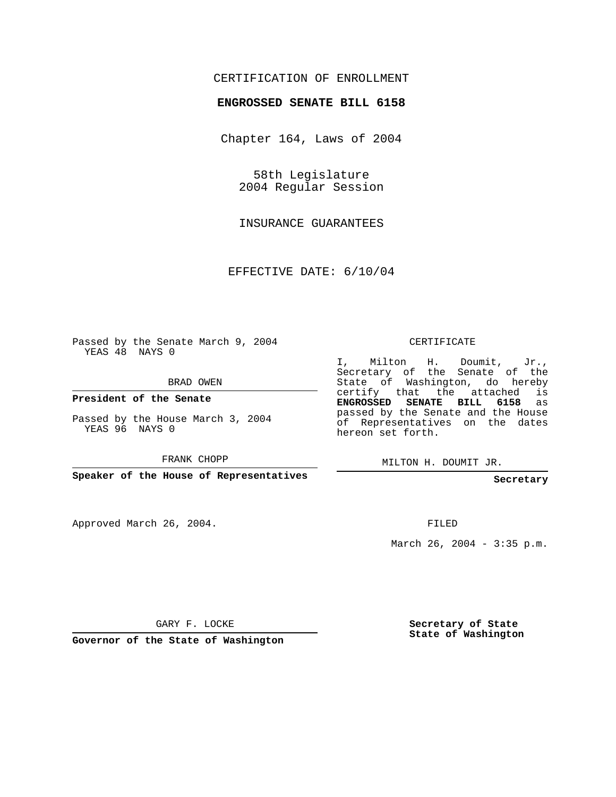## CERTIFICATION OF ENROLLMENT

## **ENGROSSED SENATE BILL 6158**

Chapter 164, Laws of 2004

58th Legislature 2004 Regular Session

INSURANCE GUARANTEES

EFFECTIVE DATE: 6/10/04

Passed by the Senate March 9, 2004 YEAS 48 NAYS 0

BRAD OWEN

**President of the Senate**

Passed by the House March 3, 2004 YEAS 96 NAYS 0

FRANK CHOPP

**Speaker of the House of Representatives**

Approved March 26, 2004.

CERTIFICATE

I, Milton H. Doumit, Jr., Secretary of the Senate of the State of Washington, do hereby certify that the attached is **ENGROSSED SENATE BILL 6158** as passed by the Senate and the House of Representatives on the dates hereon set forth.

MILTON H. DOUMIT JR.

**Secretary**

FILED

March 26, 2004 - 3:35 p.m.

GARY F. LOCKE

**Governor of the State of Washington**

**Secretary of State State of Washington**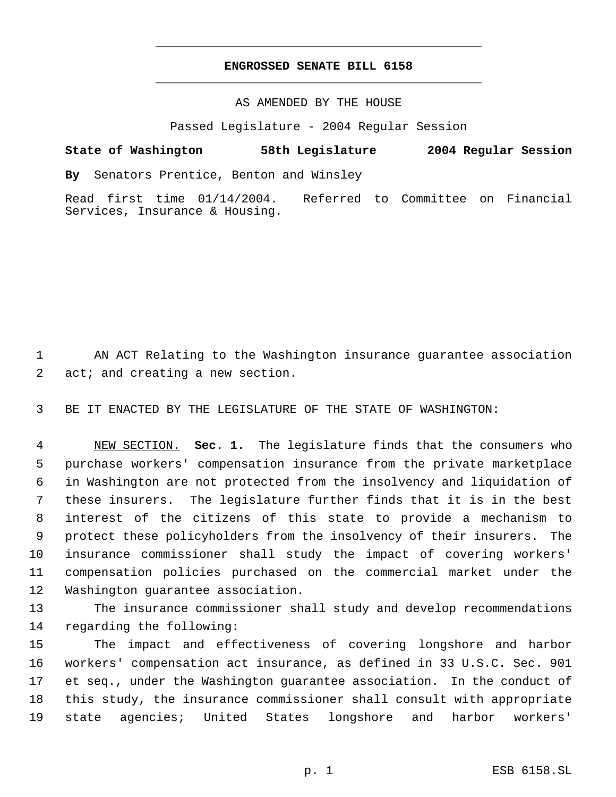## **ENGROSSED SENATE BILL 6158** \_\_\_\_\_\_\_\_\_\_\_\_\_\_\_\_\_\_\_\_\_\_\_\_\_\_\_\_\_\_\_\_\_\_\_\_\_\_\_\_\_\_\_\_\_

\_\_\_\_\_\_\_\_\_\_\_\_\_\_\_\_\_\_\_\_\_\_\_\_\_\_\_\_\_\_\_\_\_\_\_\_\_\_\_\_\_\_\_\_\_

## AS AMENDED BY THE HOUSE

Passed Legislature - 2004 Regular Session

**State of Washington 58th Legislature 2004 Regular Session By** Senators Prentice, Benton and Winsley Read first time 01/14/2004. Referred to Committee on Financial

 AN ACT Relating to the Washington insurance guarantee association 2 act; and creating a new section.

BE IT ENACTED BY THE LEGISLATURE OF THE STATE OF WASHINGTON:

Services, Insurance & Housing.

 NEW SECTION. **Sec. 1.** The legislature finds that the consumers who purchase workers' compensation insurance from the private marketplace in Washington are not protected from the insolvency and liquidation of these insurers. The legislature further finds that it is in the best interest of the citizens of this state to provide a mechanism to protect these policyholders from the insolvency of their insurers. The insurance commissioner shall study the impact of covering workers' compensation policies purchased on the commercial market under the Washington guarantee association.

 The insurance commissioner shall study and develop recommendations regarding the following:

 The impact and effectiveness of covering longshore and harbor workers' compensation act insurance, as defined in 33 U.S.C. Sec. 901 et seq., under the Washington guarantee association. In the conduct of this study, the insurance commissioner shall consult with appropriate state agencies; United States longshore and harbor workers'